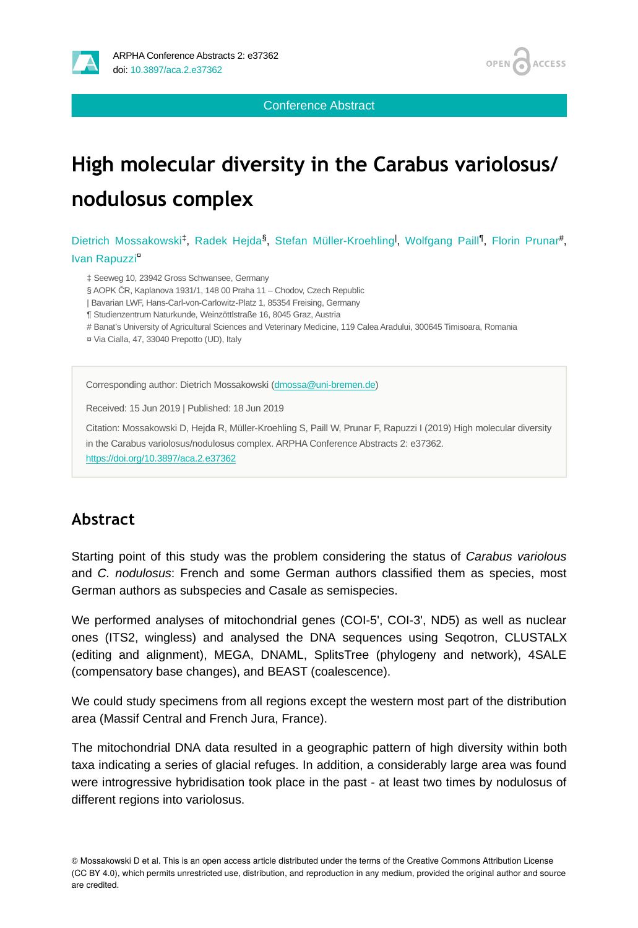

Conference Abstract

# **High molecular diversity in the Carabus variolosus/ nodulosus complex**

Dietrich Mossakowski<sup>‡</sup>, Radek Hejda<sup>§</sup>, Stefan Müller-Kroehling<sup>1</sup>, Wolfgang Paill<sup>1</sup>, Florin Prunar<sup>#</sup>, Ivan Rapuzzi<sup>¤</sup>

‡ Seeweg 10, 23942 Gross Schwansee, Germany

§ AOPK ČR, Kaplanova 1931/1, 148 00 Praha 11 – Chodov, Czech Republic

| Bavarian LWF, Hans-Carl-von-Carlowitz-Platz 1, 85354 Freising, Germany

¶ Studienzentrum Naturkunde, Weinzöttlstraße 16, 8045 Graz, Austria

# Banat's University of Agricultural Sciences and Veterinary Medicine, 119 Calea Aradului, 300645 Timisoara, Romania

¤ Via Cialla, 47, 33040 Prepotto (UD), Italy

Corresponding author: Dietrich Mossakowski [\(dmossa@uni-bremen.de](mailto:dmossa@uni-bremen.de))

Received: 15 Jun 2019 | Published: 18 Jun 2019

Citation: Mossakowski D, Hejda R, Müller-Kroehling S, Paill W, Prunar F, Rapuzzi I (2019) High molecular diversity in the Carabus variolosus/nodulosus complex. ARPHA Conference Abstracts 2: e37362.

<https://doi.org/10.3897/aca.2.e37362>

## **Abstract**

Starting point of this study was the problem considering the status of *Carabus variolous* and *C. nodulosus*: French and some German authors classified them as species, most German authors as subspecies and Casale as semispecies.

We performed analyses of mitochondrial genes (COI-5', COI-3', ND5) as well as nuclear ones (ITS2, wingless) and analysed the DNA sequences using Seqotron, CLUSTALX (editing and alignment), MEGA, DNAML, SplitsTree (phylogeny and network), 4SALE (compensatory base changes), and BEAST (coalescence).

We could study specimens from all regions except the western most part of the distribution area (Massif Central and French Jura, France).

The mitochondrial DNA data resulted in a geographic pattern of high diversity within both taxa indicating a series of glacial refuges. In addition, a considerably large area was found were introgressive hybridisation took place in the past - at least two times by nodulosus of different regions into variolosus.

© Mossakowski D et al. This is an open access article distributed under the terms of the Creative Commons Attribution License (CC BY 4.0), which permits unrestricted use, distribution, and reproduction in any medium, provided the original author and source are credited.